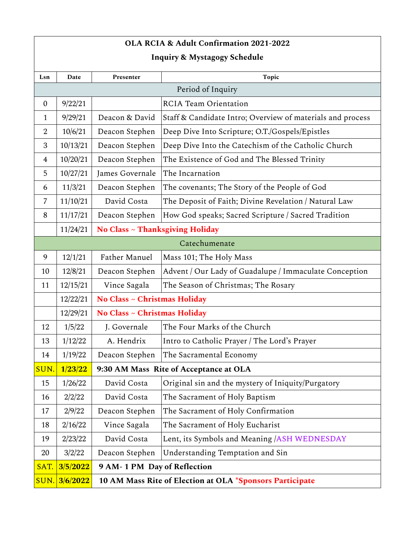## **OLA RCIA & Adult Confirmation 2021-2022**

## **Inquiry & Mystagogy Schedule**

| Lsn               | Date     | Presenter                                                | Topic                                                      |  |
|-------------------|----------|----------------------------------------------------------|------------------------------------------------------------|--|
| Period of Inquiry |          |                                                          |                                                            |  |
| $\theta$          | 9/22/21  |                                                          | <b>RCIA Team Orientation</b>                               |  |
| $\mathbf{1}$      | 9/29/21  | Deacon & David                                           | Staff & Candidate Intro; Overview of materials and process |  |
| $\overline{2}$    | 10/6/21  | Deacon Stephen                                           | Deep Dive Into Scripture; O.T./Gospels/Epistles            |  |
| 3                 | 10/13/21 | Deacon Stephen                                           | Deep Dive Into the Catechism of the Catholic Church        |  |
| 4                 | 10/20/21 | Deacon Stephen                                           | The Existence of God and The Blessed Trinity               |  |
| 5                 | 10/27/21 | James Governale                                          | The Incarnation                                            |  |
| 6                 | 11/3/21  | Deacon Stephen                                           | The covenants; The Story of the People of God              |  |
| 7                 | 11/10/21 | David Costa                                              | The Deposit of Faith; Divine Revelation / Natural Law      |  |
| 8                 | 11/17/21 | Deacon Stephen                                           | How God speaks; Sacred Scripture / Sacred Tradition        |  |
|                   | 11/24/21 | No Class ~ Thanksgiving Holiday                          |                                                            |  |
| Catechumenate     |          |                                                          |                                                            |  |
| 9                 | 12/1/21  | Father Manuel                                            | Mass 101; The Holy Mass                                    |  |
| 10                | 12/8/21  | Deacon Stephen                                           | Advent / Our Lady of Guadalupe / Immaculate Conception     |  |
| 11                | 12/15/21 | Vince Sagala                                             | The Season of Christmas; The Rosary                        |  |
|                   | 12/22/21 | No Class ~ Christmas Holiday                             |                                                            |  |
|                   | 12/29/21 | No Class ~ Christmas Holiday                             |                                                            |  |
| 12                | 1/5/22   | J. Governale                                             | The Four Marks of the Church                               |  |
| 13                | 1/12/22  | A. Hendrix                                               | Intro to Catholic Prayer / The Lord's Prayer               |  |
| 14                | 1/19/22  | Deacon Stephen                                           | The Sacramental Economy                                    |  |
| SUN.              | 1/23/22  | 9:30 AM Mass Rite of Acceptance at OLA                   |                                                            |  |
| 15                | 1/26/22  | David Costa                                              | Original sin and the mystery of Iniquity/Purgatory         |  |
| 16                | 2/2/22   | David Costa                                              | The Sacrament of Holy Baptism                              |  |
| 17                | 2/9/22   | Deacon Stephen                                           | The Sacrament of Holy Confirmation                         |  |
| 18                | 2/16/22  | Vince Sagala                                             | The Sacrament of Holy Eucharist                            |  |
| 19                | 2/23/22  | David Costa                                              | Lent, its Symbols and Meaning / ASH WEDNESDAY              |  |
| 20                | 3/2/22   | Deacon Stephen                                           | Understanding Temptation and Sin                           |  |
| SAT.              | 3/5/2022 | 9 AM-1 PM Day of Reflection                              |                                                            |  |
| SUN.              | 3/6/2022 | 10 AM Mass Rite of Election at OLA *Sponsors Participate |                                                            |  |